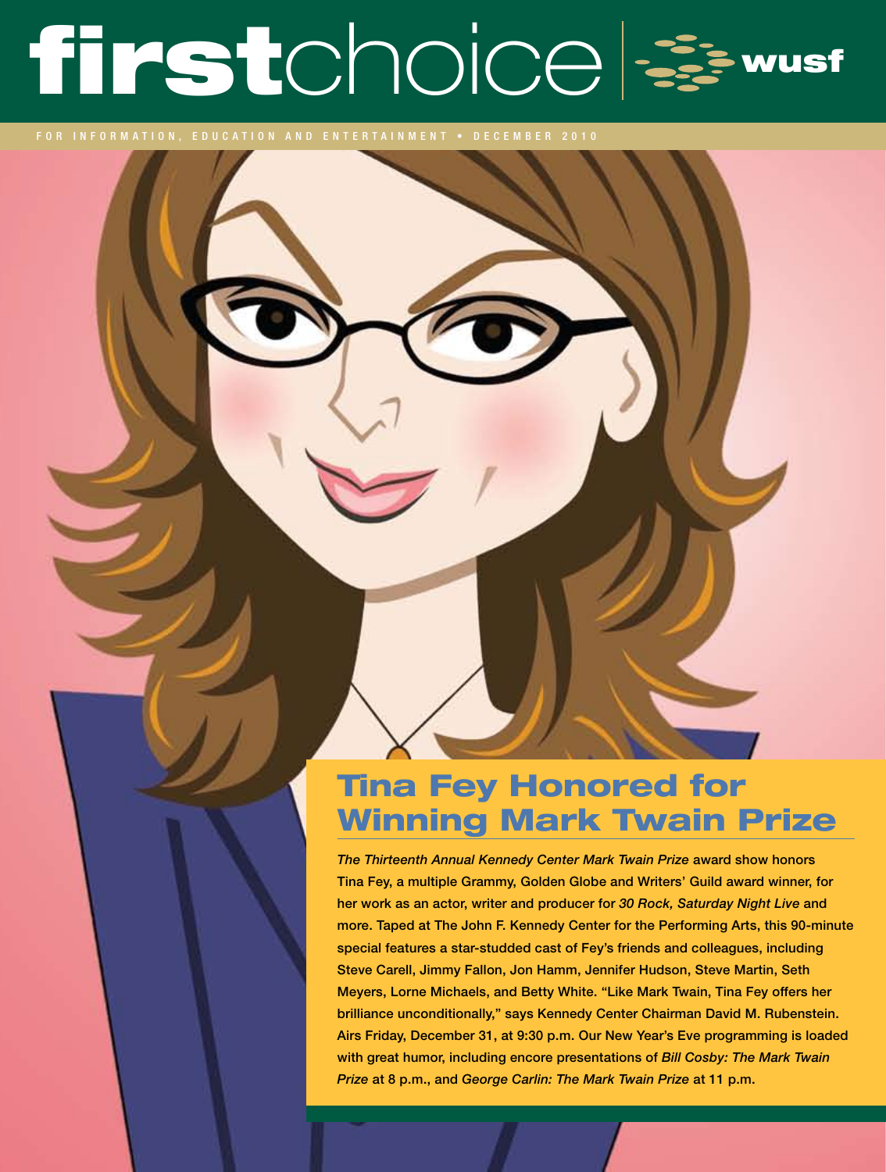# firstchoice =

for information, education and entertainment • DECEM B ER 2010

# Tina Fey Honored for Winning Mark Twain Prize

*The Thirteenth Annual Kennedy Center Mark Twain Prize* award show honors Tina Fey, a multiple Grammy, Golden Globe and Writers' Guild award winner, for her work as an actor, writer and producer for *30 Rock, Saturday Night Live* and more. Taped at The John F. Kennedy Center for the Performing Arts, this 90-minute special features a star-studded cast of Fey's friends and colleagues, including Steve Carell, Jimmy Fallon, Jon Hamm, Jennifer Hudson, Steve Martin, Seth Meyers, Lorne Michaels, and Betty White. "Like Mark Twain, Tina Fey offers her brilliance unconditionally," says Kennedy Center Chairman David M. Rubenstein. Airs Friday, December 31, at 9:30 p.m. Our New Year's Eve programming is loaded with great humor, including encore presentations of *Bill Cosby: The Mark Twain Prize* at 8 p.m., and *George Carlin: The Mark Twain Prize* at 11 p.m.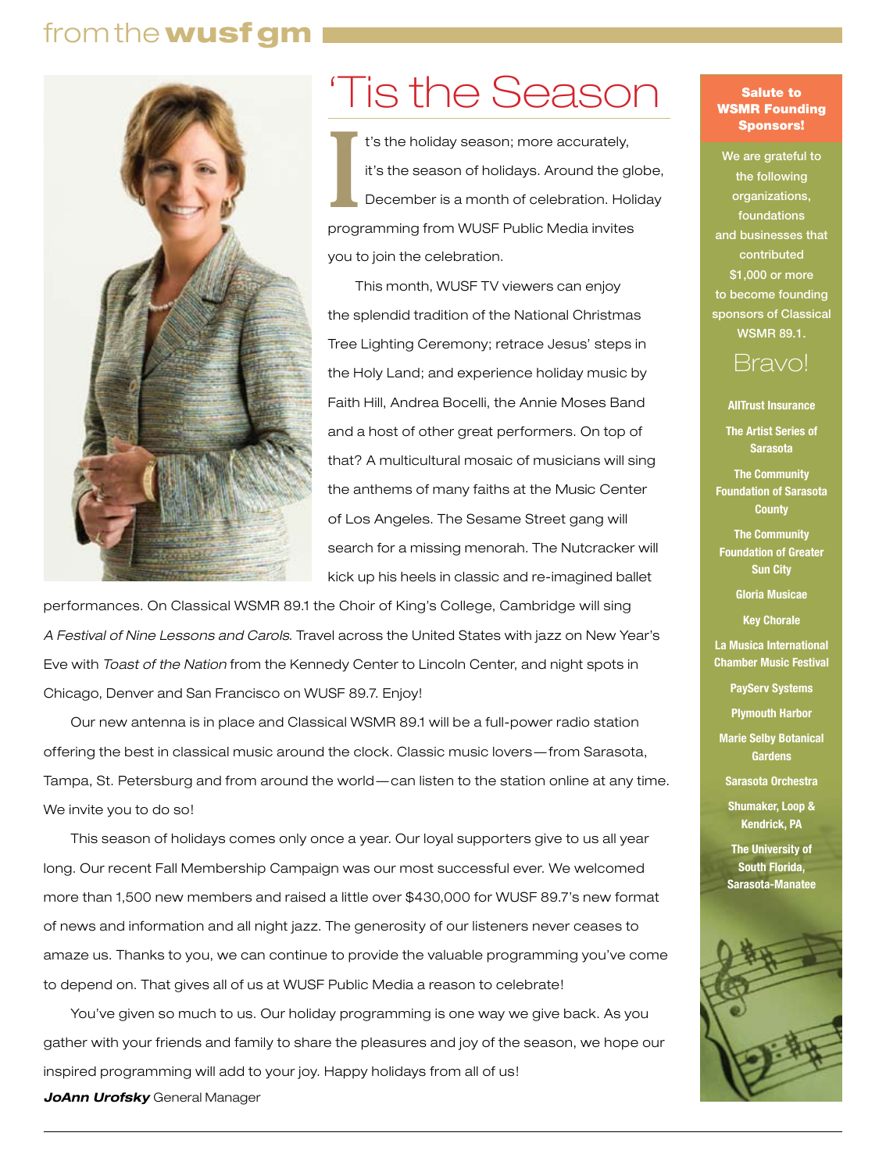# from the wusfgm



# 'Tis the Season

II is the season of holidays. Around the global method is a month of celebration. Holid programming from WUSF Public Media invites t's the holiday season; more accurately, it's the season of holidays. Around the globe, December is a month of celebration. Holiday you to join the celebration.

This month, WUSF TV viewers can enjoy the splendid tradition of the National Christmas Tree Lighting Ceremony; retrace Jesus' steps in the Holy Land; and experience holiday music by Faith Hill, Andrea Bocelli, the Annie Moses Band and a host of other great performers. On top of that? A multicultural mosaic of musicians will sing the anthems of many faiths at the Music Center of Los Angeles. The Sesame Street gang will search for a missing menorah. The Nutcracker will kick up his heels in classic and re-imagined ballet

performances. On Classical WSMR 89.1 the Choir of King's College, Cambridge will sing *A Festival of Nine Lessons and Carols*. Travel across the United States with jazz on New Year's Eve with *Toast of the Nation* from the Kennedy Center to Lincoln Center, and night spots in Chicago, Denver and San Francisco on WUSF 89.7. Enjoy!

Our new antenna is in place and Classical WSMR 89.1 will be a full-power radio station offering the best in classical music around the clock. Classic music lovers—from Sarasota, Tampa, St. Petersburg and from around the world —can listen to the station online at any time. We invite you to do so!

This season of holidays comes only once a year. Our loyal supporters give to us all year long. Our recent Fall Membership Campaign was our most successful ever. We welcomed more than 1,500 new members and raised a little over \$430,000 for WUSF 89.7's new format of news and information and all night jazz. The generosity of our listeners never ceases to amaze us. Thanks to you, we can continue to provide the valuable programming you've come to depend on. That gives all of us at WUSF Public Media a reason to celebrate!

You've given so much to us. Our holiday programming is one way we give back. As you gather with your friends and family to share the pleasures and joy of the season, we hope our inspired programming will add to your joy. Happy holidays from all of us! *JoAnn Urofsky* General Manager

#### Salute to WSMR Founding Sponsors!

We are grateful to the following organizations, foundations and businesses that contributed \$1,000 or more to become founding sponsors of Classical WSMR 89.1.

# Bravo!

**AllTrust Insurance**

**The Artist Series of Sarasota**

**The Community Foundation of Sarasota County**

**The Community Foundation of Greater Sun City** 

**Gloria Musicae**

**Key Chorale**

**La Musica International Chamber Music Festival**

**PayServ Systems**

**Plymouth Harbor**

**Marie Selby Botanical Gardens**

**Sarasota Orchestra**

**Shumaker, Loop & Kendrick, PA**

**The University of South Florida, Sarasota-Manatee**

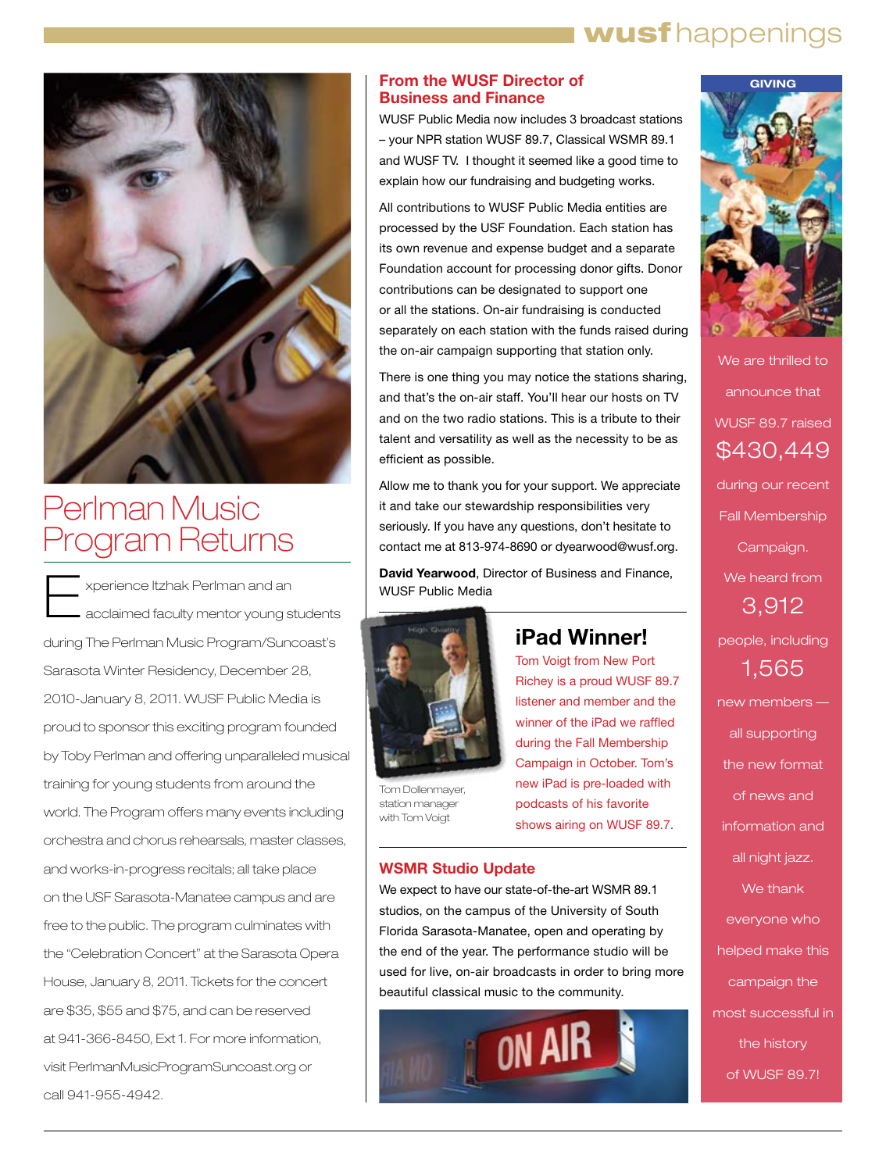# I wusfhappenings



# Perlman Music Program Returns

Experience Itzhak Perlman and an acclaimed faculty mentor young students during The Perlman Music Program/Suncoast's Sarasota Winter Residency, December 28, 2010-January 8, 2011. WUSF Public Media is proud to sponsor this exciting program founded by Toby Perlman and offering unparalleled musical training for young students from around the world. The Program offers many events including orchestra and chorus rehearsals, master classes, and works-in-progress recitals; all take place on the USF Sarasota-Manatee campus and are free to the public. The program culminates with the "Celebration Concert" at the Sarasota Opera House, January 8, 2011. Tickets for the concert are \$35, \$55 and \$75, and can be reserved at 941-366-8450, Ext 1. For more information, visit PerlmanMusicProgramSuncoast.org or call 941-955-4942.

### **From the WUSF Director of Business and Finance**

WUSF Public Media now includes 3 broadcast stations – your NPR station WUSF 89.7, Classical WSMR 89.1 and WUSF TV. I thought it seemed like a good time to explain how our fundraising and budgeting works.

All contributions to WUSF Public Media entities are processed by the USF Foundation. Each station has its own revenue and expense budget and a separate Foundation account for processing donor gifts. Donor contributions can be designated to support one or all the stations. On-air fundraising is conducted separately on each station with the funds raised during the on-air campaign supporting that station only.

There is one thing you may notice the stations sharing, and that's the on-air staff. You'll hear our hosts on TV and on the two radio stations. This is a tribute to their talent and versatility as well as the necessity to be as efficient as possible.

Allow me to thank you for your support. We appreciate it and take our stewardship responsibilities very seriously. If you have any questions, don't hesitate to contact me at 813-974-8690 or dyearwood@wusf.org.

**David Yearwood**, Director of Business and Finance, WUSF Public Media



Tom Dollenmayer, station manager with Tom Voigt

# **iPad Winner!**

Tom Voigt from New Port Richey is a proud WUSF 89.7 listener and member and the winner of the iPad we raffled during the Fall Membership Campaign in October. Tom's new iPad is pre-loaded with podcasts of his favorite shows airing on WUSF 89.7.

### **WSMR Studio Update**

We expect to have our state-of-the-art WSMR 89.1 studios, on the campus of the University of South Florida Sarasota-Manatee, open and operating by the end of the year. The performance studio will be used for live, on-air broadcasts in order to bring more beautiful classical music to the community.





We are thrilled to announce that WUSF 89.7 raised \$430,449 during our recent Fall Membership Campaign. We heard from 3,912 people, including 1,565 new members all supporting the new format of news and

information and all night jazz.

We thank everyone who helped make this campaign the most successful in the history of WUSF 89.7!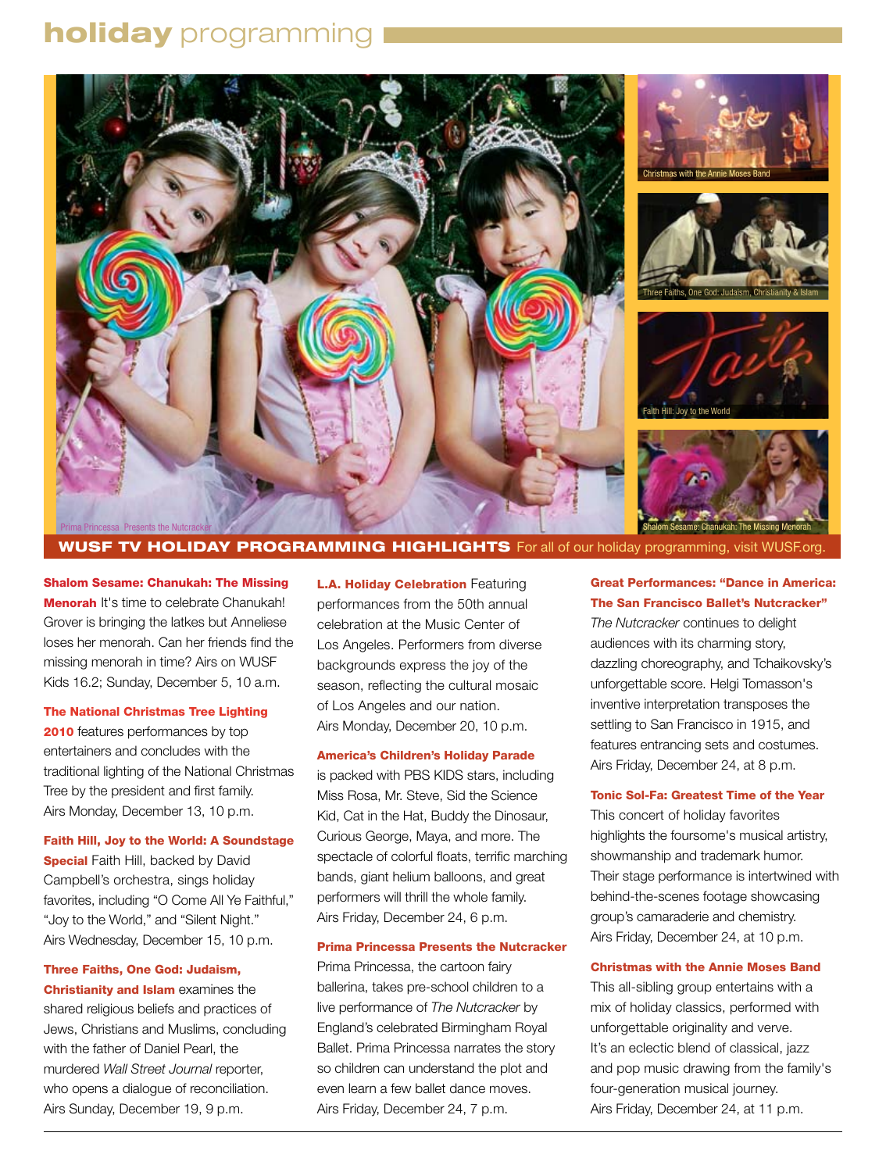# **holiday** programming



# **WUSF TV HOLIDAY PROGRAMMING HIGHLIGHTS** For all of our holiday programming, visit WUSF.org

Shalom Sesame: Chanukah: The Missing Menorah It's time to celebrate Chanukah! Grover is bringing the latkes but Anneliese loses her menorah. Can her friends find the missing menorah in time? Airs on WUSF Kids 16.2; Sunday, December 5, 10 a.m.

#### The National Christmas Tree Lighting

**2010** features performances by top entertainers and concludes with the traditional lighting of the National Christmas Tree by the president and first family. Airs Monday, December 13, 10 p.m.

#### Faith Hill, Joy to the World: A Soundstage

**Special Faith Hill, backed by David** Campbell's orchestra, sings holiday favorites, including "O Come All Ye Faithful," "Joy to the World," and "Silent Night." Airs Wednesday, December 15, 10 p.m.

# Three Faiths, One God: Judaism,

Christianity and Islam examines the shared religious beliefs and practices of Jews, Christians and Muslims, concluding with the father of Daniel Pearl, the murdered *Wall Street Journal* reporter, who opens a dialogue of reconciliation. Airs Sunday, December 19, 9 p.m.

**L.A. Holiday Celebration Featuring** performances from the 50th annual celebration at the Music Center of Los Angeles. Performers from diverse backgrounds express the joy of the season, reflecting the cultural mosaic of Los Angeles and our nation. Airs Monday, December 20, 10 p.m.

#### America's Children's Holiday Parade

is packed with PBS KIDS stars, including Miss Rosa, Mr. Steve, Sid the Science Kid, Cat in the Hat, Buddy the Dinosaur, Curious George, Maya, and more. The spectacle of colorful floats, terrific marching bands, giant helium balloons, and great performers will thrill the whole family. Airs Friday, December 24, 6 p.m.

#### Prima Princessa Presents the Nutcracker

Prima Princessa, the cartoon fairy ballerina, takes pre-school children to a live performance of *The Nutcracker* by England's celebrated Birmingham Royal Ballet. Prima Princessa narrates the story so children can understand the plot and even learn a few ballet dance moves. Airs Friday, December 24, 7 p.m.

### Great Performances: "Dance in America: The San Francisco Ballet's Nutcracker"

*The Nutcracker* continues to delight audiences with its charming story, dazzling choreography, and Tchaikovsky's unforgettable score. Helgi Tomasson's inventive interpretation transposes the settling to San Francisco in 1915, and features entrancing sets and costumes. Airs Friday, December 24, at 8 p.m.

#### Tonic Sol-Fa: Greatest Time of the Year

This concert of holiday favorites highlights the foursome's musical artistry, showmanship and trademark humor. Their stage performance is intertwined with behind-the-scenes footage showcasing group's camaraderie and chemistry. Airs Friday, December 24, at 10 p.m.

#### Christmas with the Annie Moses Band

This all-sibling group entertains with a mix of holiday classics, performed with unforgettable originality and verve. It's an eclectic blend of classical, jazz and pop music drawing from the family's four-generation musical journey. Airs Friday, December 24, at 11 p.m.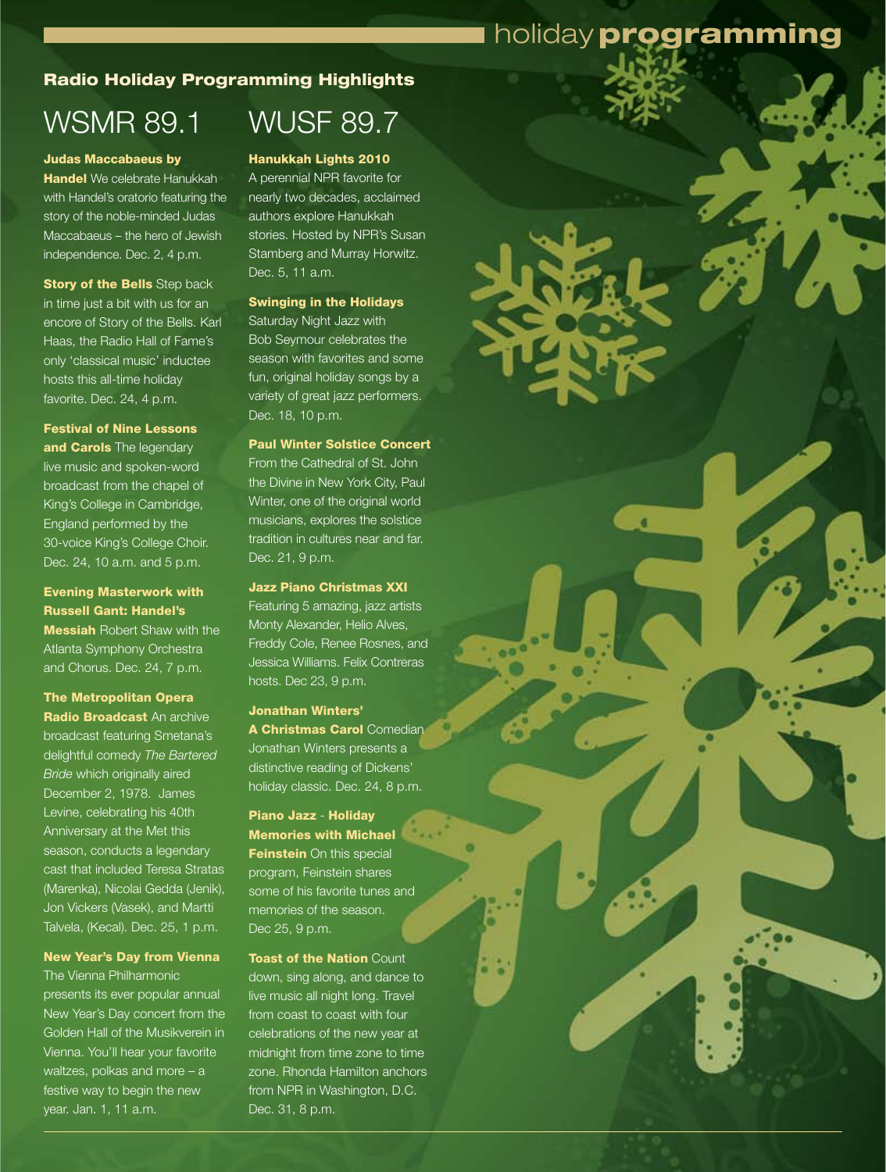# holiday programming

# Radio Holiday Programming Highlights

# WSMR 89.1

#### Judas Maccabaeus by

Handel We celebrate Hanukkah with Handel's oratorio featuring the story of the noble-minded Judas Maccabaeus – the hero of Jewish independence. Dec. 2, 4 p.m.

**Story of the Bells Step back** in time just a bit with us for an encore of Story of the Bells. Karl Haas, the Radio Hall of Fame's only 'classical music' inductee hosts this all-time holiday favorite. Dec. 24, 4 p.m.

# Festival of Nine Lessons and Carols The legendary live music and spoken-word broadcast from the chapel of

King's College in Cambridge, England performed by the 30-voice King's College Choir. Dec. 24, 10 a.m. and 5 p.m.

# Evening Masterwork with Russell Gant: Handel's **Messiah Robert Shaw with the**

Atlanta Symphony Orchestra and Chorus. Dec. 24, 7 p.m.

The Metropolitan Opera Radio Broadcast An archive broadcast featuring Smetana's delightful comedy *The Bartered Bride* which originally aired December 2, 1978. James Levine, celebrating his 40th Anniversary at the Met this season, conducts a legendary cast that included Teresa Stratas (Marenka), Nicolai Gedda (Jenik), Jon Vickers (Vasek), and Martti Talvela, (Kecal). Dec. 25, 1 p.m.

#### New Year's Day from Vienna

The Vienna Philharmonic presents its ever popular annual New Year's Day concert from the Golden Hall of the Musikverein in Vienna. You'll hear your favorite waltzes, polkas and more – a festive way to begin the new year. Jan. 1, 11 a.m.

# WUSF 89.7

Hanukkah Lights 2010 A perennial NPR favorite for nearly two decades, acclaimed authors explore Hanukkah stories. Hosted by NPR's Susan Stamberg and Murray Horwitz. Dec. 5, 11 a.m.

#### Swinging in the Holidays Saturday Night Jazz with

Bob Seymour celebrates the season with favorites and some fun, original holiday songs by a variety of great jazz performers. Dec. 18, 10 p.m.

Paul Winter Solstice Concert From the Cathedral of St. John the Divine in New York City, Paul Winter, one of the original world musicians, explores the solstice tradition in cultures near and far. Dec. 21, 9 p.m.

#### Jazz Piano Christmas XXI

Featuring 5 amazing, jazz artists Monty Alexander, Helio Alves, Freddy Cole, Renee Rosnes, and Jessica Williams. Felix Contreras hosts. Dec 23, 9 p.m.

n O

### Jonathan Winters'

A Christmas Carol Comedian Jonathan Winters presents a distinctive reading of Dickens' holiday classic. Dec. 24, 8 p.m.

# Piano Jazz - Holiday Memories with Michael **Feinstein** On this special program, Feinstein shares some of his favorite tunes and memories of the season. Dec 25, 9 p.m.

Toast of the Nation Count down, sing along, and dance to live music all night long. Travel from coast to coast with four celebrations of the new year at midnight from time zone to time zone. Rhonda Hamilton anchors from NPR in Washington, D.C. Dec. 31, 8 p.m.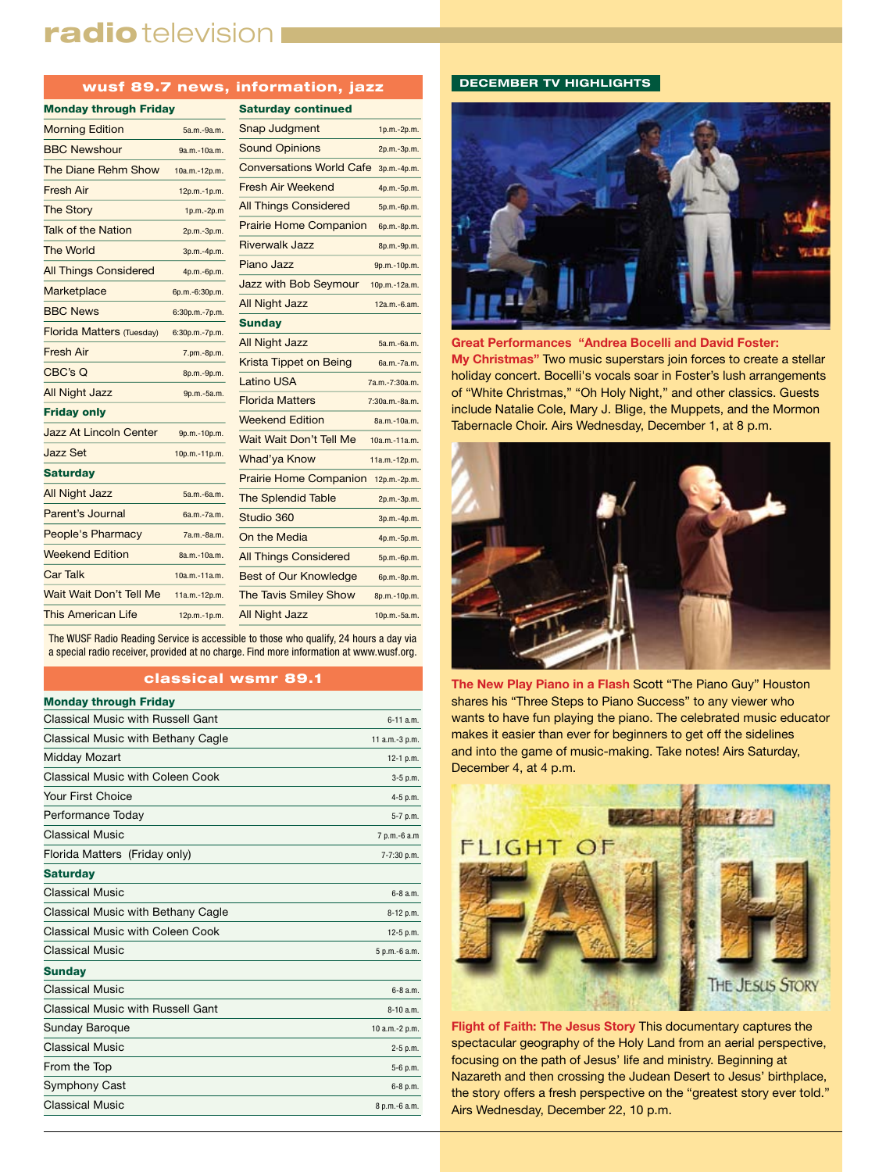# radio television I

#### wusf 89.7 news, information, jazz

| <b>Monday through Friday</b>     |                | <b>Saturday</b>   |
|----------------------------------|----------------|-------------------|
| <b>Morning Edition</b>           | 5a.m.-9a.m.    | Snap Jud          |
| <b>BBC Newshour</b>              | 9a.m.-10a.m.   | Sound Op          |
| The Diane Rehm Show              | 10a.m.-12p.m.  | Conversa          |
| <b>Fresh Air</b>                 | 12p.m.-1p.m.   | Fresh Air '       |
| <b>The Story</b>                 | 1p.m.-2p.m     | <b>All Things</b> |
| <b>Talk of the Nation</b>        | 2p.m.-3p.m.    | <b>Prairie Ho</b> |
| <b>The World</b>                 | 3p.m.-4p.m.    | Riverwalk         |
| <b>All Things Considered</b>     | 4p.m.-6p.m.    | Piano Jaz         |
| Marketplace                      | 6p.m.-6:30p.m. | Jazz with         |
| <b>BBC News</b>                  | 6:30p.m.-7p.m. | All Night .       |
| <b>Florida Matters (Tuesday)</b> | 6:30p.m.-7p.m. | <b>Sunday</b>     |
| <b>Fresh Air</b>                 | 7.pm.-8p.m.    | All Night .       |
| CBC's Q                          | 8p.m.-9p.m.    | Krista Tip        |
| <b>All Night Jazz</b>            | 9p.m.-5a.m.    | <b>Latino US</b>  |
| <b>Friday only</b>               |                | Florida Ma        |
| Jazz At Lincoln Center           | 9p.m.-10p.m.   | Weekend           |
| <b>Jazz Set</b>                  | 10p.m.-11p.m.  | <b>Wait Wait</b>  |
| <b>Saturday</b>                  |                | Whad'ya I         |
| <b>All Night Jazz</b>            | 5a.m.-6a.m.    | <b>Prairie Ho</b> |
| Parent's Journal                 | 6a.m.-7a.m.    | <b>The Splen</b>  |
| People's Pharmacy                | 7a.m.-8a.m.    | Studio 36         |
| <b>Weekend Edition</b>           |                | On the Me         |
|                                  | 8a.m.-10a.m.   | <b>All Things</b> |
| <b>Car Talk</b>                  | 10a.m.-11a.m.  | Best of O         |
| Wait Wait Don't Tell Me          | 11a.m.-12p.m.  | <b>The Tavis</b>  |
| <b>This American Life</b>        | 12p.m.-1p.m.   | All Night .       |

| <b>Saturday continued</b>       |                  |
|---------------------------------|------------------|
| <b>Snap Judgment</b>            | 1p.m.-2p.m.      |
| <b>Sound Opinions</b>           | 2p.m.-3p.m.      |
| <b>Conversations World Cafe</b> | 3p.m.-4p.m.      |
| <b>Fresh Air Weekend</b>        | 4p.m.-5p.m.      |
| <b>All Things Considered</b>    | 5p.m.-6p.m.      |
| <b>Prairie Home Companion</b>   | 6p.m.-8p.m.      |
| <b>Riverwalk Jazz</b>           | 8p.m.-9p.m.      |
| Piano Jazz                      | 9p.m.-10p.m.     |
| Jazz with Bob Seymour           | 10p.m.-12a.m.    |
| <b>All Night Jazz</b>           | 12a.m.-6.am.     |
| <b>Sunday</b>                   |                  |
| <b>All Night Jazz</b>           | 5a.m.-6a.m.      |
| Krista Tippet on Being          | 6a.m.-7a.m.      |
| <b>Latino USA</b>               | 7a.m.-7:30a.m.   |
| <b>Florida Matters</b>          | $7:30a.m.-8a.m.$ |
| <b>Weekend Edition</b>          | 8a.m.-10a.m.     |
| Wait Wait Don't Tell Me         | $10a.m.-11a.m.$  |
| <b>Whad'ya Know</b>             | 11a.m.-12p.m.    |
| <b>Prairie Home Companion</b>   | 12p.m.-2p.m.     |
| <b>The Splendid Table</b>       | 2p.m.-3p.m.      |
| Studio 360                      | 3p.m.-4p.m.      |
| On the Media                    | 4p.m.-5p.m.      |
| <b>All Things Considered</b>    | 5p.m.-6p.m.      |
| <b>Best of Our Knowledge</b>    | 6p.m.-8p.m.      |
| <b>The Tavis Smiley Show</b>    | 8p.m.-10p.m.     |
| <b>All Night Jazz</b>           | 10p.m.-5a.m.     |

The WUSF Radio Reading Service is accessible to those who qualify, 24 hours a day via a special radio receiver, provided at no charge. Find more information at www.wusf.org.

#### classical wsmr 89.1

| <b>Monday through Friday</b>       |                |
|------------------------------------|----------------|
| Classical Music with Russell Gant  | $6 - 11$ a.m.  |
| Classical Music with Bethany Cagle | 11 a.m.-3 p.m. |
| Midday Mozart                      | $12-1$ p.m.    |
| Classical Music with Coleen Cook   | $3-5$ p.m.     |
| Your First Choice                  | 4-5 p.m.       |
| Performance Today                  | 5-7 p.m.       |
| <b>Classical Music</b>             | 7 p.m.-6 a.m   |
| Florida Matters (Friday only)      | 7-7:30 p.m.    |
| <b>Saturday</b>                    |                |
| <b>Classical Music</b>             | $6 - 8$ a.m.   |
| Classical Music with Bethany Cagle | 8-12 p.m.      |
| Classical Music with Coleen Cook   | $12-5$ p.m.    |
| <b>Classical Music</b>             | 5 p.m.-6 a.m.  |
| <b>Sunday</b>                      |                |
| <b>Classical Music</b>             | $6-8$ a.m.     |
| Classical Music with Russell Gant  | $8-10a.m.$     |
| <b>Sunday Baroque</b>              | 10 a.m.-2 p.m. |
| <b>Classical Music</b>             | 2-5 p.m.       |
| From the Top                       | 5-6 p.m.       |
| Symphony Cast                      | 6-8 p.m.       |
| <b>Classical Music</b>             | 8 p.m.-6 a.m.  |
|                                    |                |

#### **DECEMBER TV HIGHLIGHTS**



**Great Performances "Andrea Bocelli and David Foster: My Christmas"** Two music superstars join forces to create a stellar holiday concert. Bocelli's vocals soar in Foster's lush arrangements of "White Christmas," "Oh Holy Night," and other classics. Guests include Natalie Cole, Mary J. Blige, the Muppets, and the Mormon Tabernacle Choir. Airs Wednesday, December 1, at 8 p.m.



**The New Play Piano in a Flash** Scott "The Piano Guy" Houston shares his "Three Steps to Piano Success" to any viewer who wants to have fun playing the piano. The celebrated music educator makes it easier than ever for beginners to get off the sidelines and into the game of music-making. Take notes! Airs Saturday, December 4, at 4 p.m.



**Flight of Faith: The Jesus Story** This documentary captures the spectacular geography of the Holy Land from an aerial perspective, focusing on the path of Jesus' life and ministry. Beginning at Nazareth and then crossing the Judean Desert to Jesus' birthplace, the story offers a fresh perspective on the "greatest story ever told." Airs Wednesday, December 22, 10 p.m.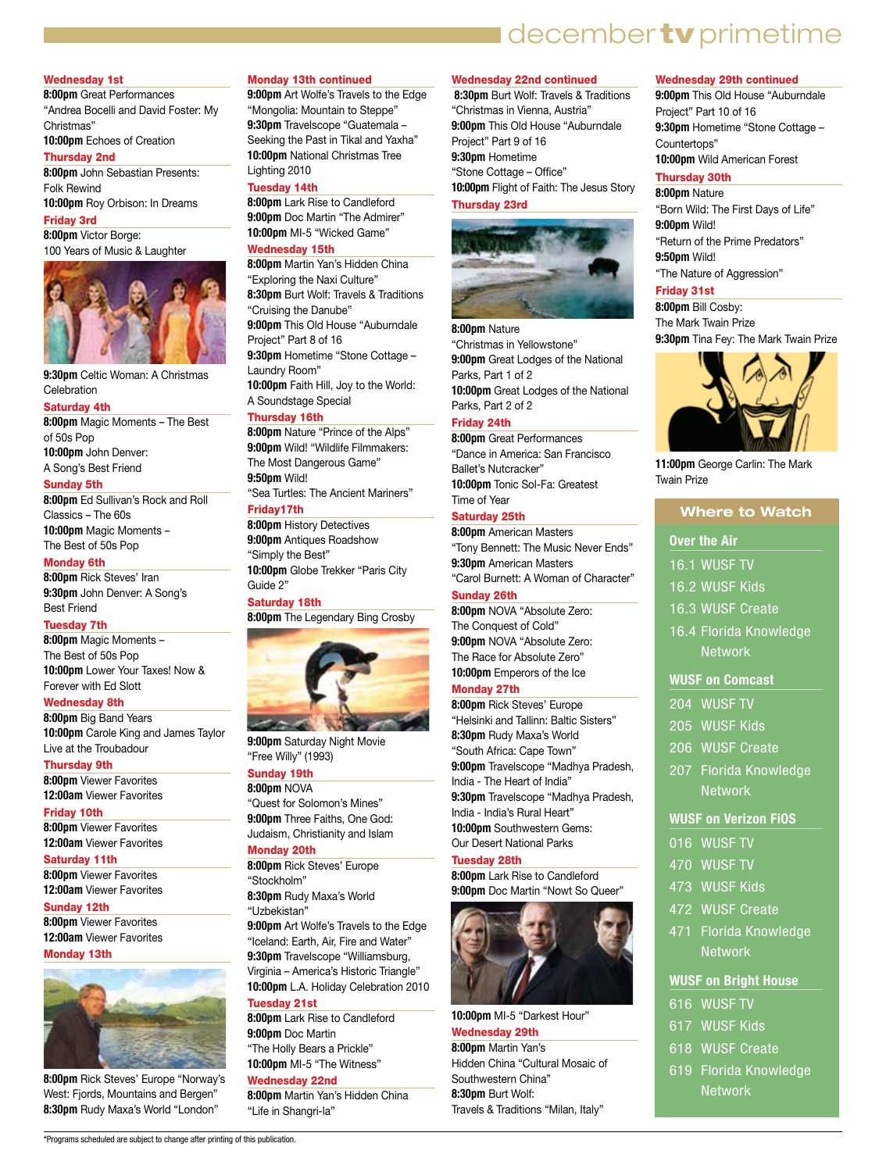# I december tv primetime

#### Wednesday 1st

**8:00pm** Great Performances "Andrea Bocelli and David Foster: My Christmas"

# **10:00pm** Echoes of Creation

Thursday 2nd **8:00pm** John Sebastian Presents:

Folk Rewind **10:00pm** Roy Orbison: In Dreams

### Friday 3rd

**8:00pm** Victor Borge: 100 Years of Music & Laughter



**9:30pm** Celtic Woman: A Christmas **Celebration** 

#### Saturday 4th

**8:00pm** Magic Moments – The Best of 50s Pop **10:00pm** John Denver:

A Song's Best Friend

### Sunday 5th

**8:00pm** Ed Sullivan's Rock and Roll Classics – The 60s **10:00pm** Magic Moments – The Best of 50s Pop

#### Monday 6th

**8:00pm** Rick Steves' Iran **9:30pm** John Denver: A Song's Best Friend

#### Tuesday 7th

**8:00pm** Magic Moments – The Best of 50s Pop **10:00pm** Lower Your Taxes! Now & Forever with Ed Slott

#### Wednesday 8th

**8:00pm** Big Band Years **10:00pm** Carole King and James Taylor Live at the Troubadour

### Thursday 9th

**8:00pm** Viewer Favorites **12:00am** Viewer Favorites

#### Friday 10th

**8:00pm** Viewer Favorites **12:00am** Viewer Favorites

#### Saturday 11th

**8:00pm** Viewer Favorites **12:00am** Viewer Favorites

### Sunday 12th **8:00pm** Viewer Favorites **12:00am** Viewer Favorites

#### Monday 13th



**8:00pm** Rick Steves' Europe "Norway's West: Fjords, Mountains and Bergen" **8:30pm** Rudy Maxa's World "London"

\*Programs scheduled are subject to change after printing of this publication.

#### Monday 13th continued

**9:00pm** Art Wolfe's Travels to the Edge "Mongolia: Mountain to Steppe" **9:30pm** Travelscope "Guatemala – Seeking the Past in Tikal and Yaxha" **10:00pm** National Christmas Tree Lighting 2010

#### Tuesday 14th

**8:00pm** Lark Rise to Candleford **9:00pm** Doc Martin "The Admirer" **10:00pm** MI-5 "Wicked Game" Wednesday 15th

#### **8:00pm** Martin Yan's Hidden China "Exploring the Naxi Culture" **8:30pm** Burt Wolf: Travels & Traditions "Cruising the Danube" **9:00pm** This Old House "Auburndale Project" Part 8 of 16 **9:30pm** Hometime "Stone Cottage – Laundry Room" **10:00pm** Faith Hill, Joy to the World: A Soundstage Special

#### Thursday 16th

**8:00pm** Nature "Prince of the Alps" **9:00pm** Wild! "Wildlife Filmmakers: The Most Dangerous Game" **9:50pm** Wild!

"Sea Turtles: The Ancient Mariners" Friday17th

### **8:00pm** History Detectives

**9:00pm** Antiques Roadshow "Simply the Best" **10:00pm** Globe Trekker "Paris City Guide 2"

Saturday 18th

**8:00pm** The Legendary Bing Crosby



**9:00pm** Saturday Night Movie "Free Willy" (1993)

# Sunday 19th

**8:00pm** NOVA "Quest for Solomon's Mines" **9:00pm** Three Faiths, One God: Judaism, Christianity and Islam

# Monday 20th

**8:00pm** Rick Steves' Europe "Stockholm" **8:30pm** Rudy Maxa's World

"Uzbekistan"

**9:00pm** Art Wolfe's Travels to the Edge "Iceland: Earth, Air, Fire and Water" **9:30pm** Travelscope "Williamsburg, Virginia – America's Historic Triangle" **10:00pm** L.A. Holiday Celebration 2010 Tuesday 21st

### **8:00pm** Lark Rise to Candleford **9:00pm** Doc Martin

"The Holly Bears a Prickle" **10:00pm** MI-5 "The Witness" Wednesday 22nd

**8:00pm** Martin Yan's Hidden China "Life in Shangri-la"

#### Wednesday 22nd continued

 **8:30pm** Burt Wolf: Travels & Traditions "Christmas in Vienna, Austria" **9:00pm** This Old House "Auburndale Project" Part 9 of 16 **9:30pm** Hometime "Stone Cottage – Office" **10:00pm** Flight of Faith: The Jesus Story Thursday 23rd



### **8:00pm** Nature

"Christmas in Yellowstone" **9:00pm** Great Lodges of the National Parks, Part 1 of 2 **10:00pm** Great Lodges of the National Parks, Part 2 of 2

#### Friday 24th

**8:00pm** Great Performances "Dance in America: San Francisco Ballet's Nutcracker" **10:00pm** Tonic Sol-Fa: Greatest Time of Year

### Saturday 25th

**8:00pm** American Masters "Tony Bennett: The Music Never Ends" **9:30pm** American Masters "Carol Burnett: A Woman of Character"

#### Sunday 26th

**8:00pm** NOVA "Absolute Zero: The Conquest of Cold" **9:00pm** NOVA "Absolute Zero: The Race for Absolute Zero" **10:00pm** Emperors of the Ice

#### Monday 27th

**8:00pm** Rick Steves' Europe "Helsinki and Tallinn: Baltic Sisters" **8:30pm** Rudy Maxa's World "South Africa: Cape Town" **9:00pm** Travelscope "Madhya Pradesh, India - The Heart of India" **9:30pm** Travelscope "Madhya Pradesh, India - India's Rural Heart" **10:00pm** Southwestern Gems: Our Desert National Parks

### Tuesday 28th

**8:00pm** Lark Rise to Candleford 9:00pm Doc Martin "Nowt So Queer



#### **10:00pm** MI-5 "Darkest Hour"

Wednesday 29th

**8:00pm** Martin Yan's Hidden China "Cultural Mosaic of Southwestern China" **8:30pm** Burt Wolf: Travels & Traditions "Milan, Italy"

#### Wednesday 29th continued

**9:00pm** This Old House "Auburndale Project" Part 10 of 16 **9:30pm** Hometime "Stone Cottage – Countertops" **10:00pm** Wild American Forest

#### Thursday 30th

**8:00pm** Nature "Born Wild: The First Days of Life" **9:00pm** Wild! "Return of the Prime Predators" **9:50pm** Wild! "The Nature of Aggression"

# Friday 31st

**8:00pm** Bill Cosby: The Mark Twain Prize **9:30pm** Tina Fey: The Mark Twain Prize



**11:00pm** George Carlin: The Mark Twain Prize

### **Where to Watch**

#### **Over the Air**

- 16.1 WUSF TV
- 16.2 WUSF Kids
- 16.3 WUSF Create
- 16.4 Florida Knowledge
- **Network**

# **WUSF on Comcast**

- 204 WUSF TV
- 205 WUSF Kids
- 206 WUSF Create
- 
- 207 Florida Knowledge **Network**

#### **WUSF on Verizon FiOS**

- 016 WUSF TV
- 470 WUSF TV
- 473 WUSF Kids

616 WUSF TV 617 WUSF Kids 618 WUSF Create 619 Florida Knowledge **Network** 

- 
- 472 WUSF Create

471 Florida Knowledge **Network** 

**WUSF on Bright House**